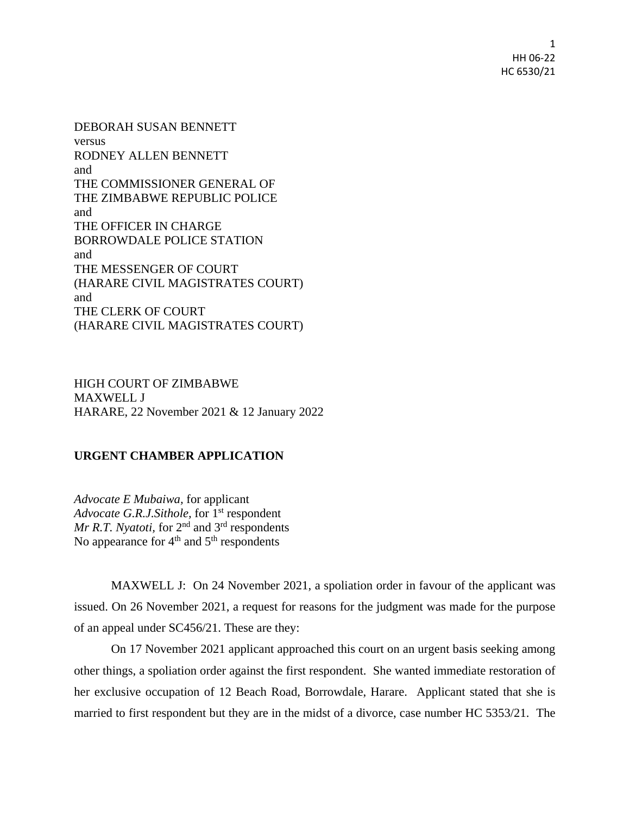1 HH 06-22 HC 6530/21

DEBORAH SUSAN BENNETT versus RODNEY ALLEN BENNETT and THE COMMISSIONER GENERAL OF THE ZIMBABWE REPUBLIC POLICE and THE OFFICER IN CHARGE BORROWDALE POLICE STATION and THE MESSENGER OF COURT (HARARE CIVIL MAGISTRATES COURT) and THE CLERK OF COURT (HARARE CIVIL MAGISTRATES COURT)

HIGH COURT OF ZIMBABWE MAXWELL J HARARE, 22 November 2021 & 12 January 2022

## **URGENT CHAMBER APPLICATION**

*Advocate E Mubaiwa,* for applicant *Advocate G.R.J.Sithole, for* 1<sup>st</sup> respondent *Mr R.T. Nyatoti,* for 2<sup>nd</sup> and 3<sup>rd</sup> respondents No appearance for  $4<sup>th</sup>$  and  $5<sup>th</sup>$  respondents

MAXWELL J: On 24 November 2021, a spoliation order in favour of the applicant was issued. On 26 November 2021, a request for reasons for the judgment was made for the purpose of an appeal under SC456/21. These are they:

On 17 November 2021 applicant approached this court on an urgent basis seeking among other things, a spoliation order against the first respondent. She wanted immediate restoration of her exclusive occupation of 12 Beach Road, Borrowdale, Harare. Applicant stated that she is married to first respondent but they are in the midst of a divorce, case number HC 5353/21. The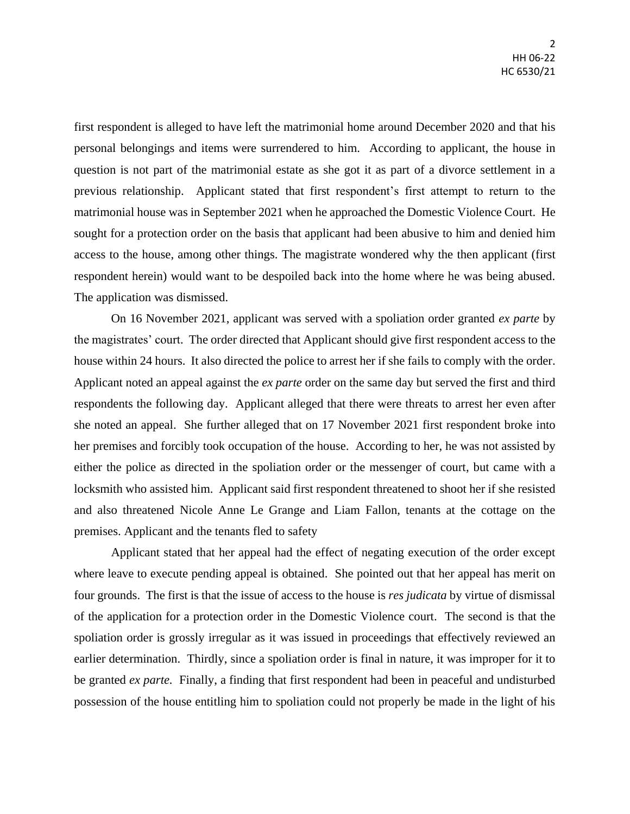first respondent is alleged to have left the matrimonial home around December 2020 and that his personal belongings and items were surrendered to him. According to applicant, the house in question is not part of the matrimonial estate as she got it as part of a divorce settlement in a previous relationship. Applicant stated that first respondent's first attempt to return to the matrimonial house was in September 2021 when he approached the Domestic Violence Court. He sought for a protection order on the basis that applicant had been abusive to him and denied him access to the house, among other things. The magistrate wondered why the then applicant (first respondent herein) would want to be despoiled back into the home where he was being abused. The application was dismissed.

On 16 November 2021, applicant was served with a spoliation order granted *ex parte* by the magistrates' court. The order directed that Applicant should give first respondent access to the house within 24 hours. It also directed the police to arrest her if she fails to comply with the order. Applicant noted an appeal against the *ex parte* order on the same day but served the first and third respondents the following day. Applicant alleged that there were threats to arrest her even after she noted an appeal. She further alleged that on 17 November 2021 first respondent broke into her premises and forcibly took occupation of the house. According to her, he was not assisted by either the police as directed in the spoliation order or the messenger of court, but came with a locksmith who assisted him. Applicant said first respondent threatened to shoot her if she resisted and also threatened Nicole Anne Le Grange and Liam Fallon, tenants at the cottage on the premises. Applicant and the tenants fled to safety

Applicant stated that her appeal had the effect of negating execution of the order except where leave to execute pending appeal is obtained. She pointed out that her appeal has merit on four grounds. The first is that the issue of access to the house is *res judicata* by virtue of dismissal of the application for a protection order in the Domestic Violence court. The second is that the spoliation order is grossly irregular as it was issued in proceedings that effectively reviewed an earlier determination. Thirdly, since a spoliation order is final in nature, it was improper for it to be granted *ex parte.* Finally, a finding that first respondent had been in peaceful and undisturbed possession of the house entitling him to spoliation could not properly be made in the light of his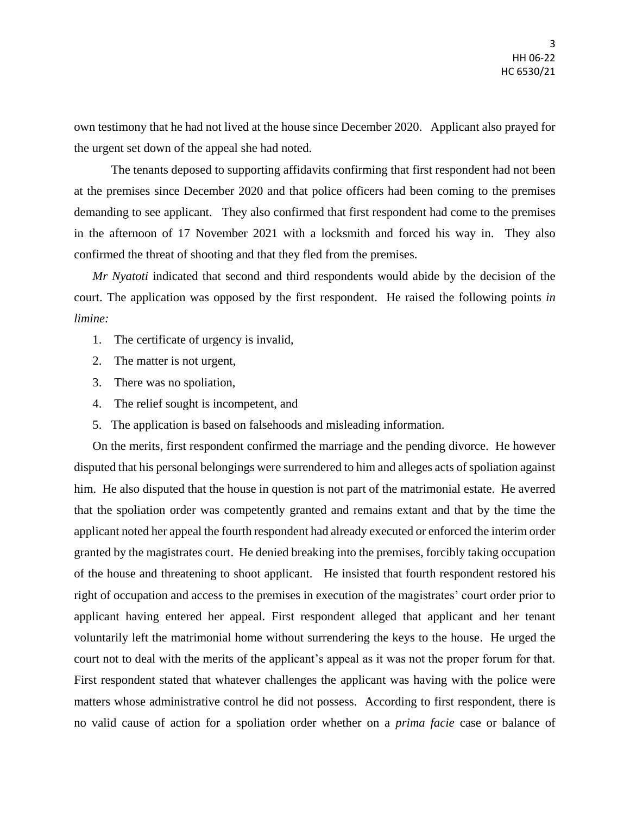own testimony that he had not lived at the house since December 2020. Applicant also prayed for the urgent set down of the appeal she had noted.

The tenants deposed to supporting affidavits confirming that first respondent had not been at the premises since December 2020 and that police officers had been coming to the premises demanding to see applicant. They also confirmed that first respondent had come to the premises in the afternoon of 17 November 2021 with a locksmith and forced his way in. They also confirmed the threat of shooting and that they fled from the premises.

*Mr Nyatoti* indicated that second and third respondents would abide by the decision of the court. The application was opposed by the first respondent. He raised the following points *in limine:*

- 1. The certificate of urgency is invalid,
- 2. The matter is not urgent,
- 3. There was no spoliation,
- 4. The relief sought is incompetent, and
- 5. The application is based on falsehoods and misleading information.

On the merits, first respondent confirmed the marriage and the pending divorce. He however disputed that his personal belongings were surrendered to him and alleges acts of spoliation against him. He also disputed that the house in question is not part of the matrimonial estate. He averred that the spoliation order was competently granted and remains extant and that by the time the applicant noted her appeal the fourth respondent had already executed or enforced the interim order granted by the magistrates court. He denied breaking into the premises, forcibly taking occupation of the house and threatening to shoot applicant. He insisted that fourth respondent restored his right of occupation and access to the premises in execution of the magistrates' court order prior to applicant having entered her appeal. First respondent alleged that applicant and her tenant voluntarily left the matrimonial home without surrendering the keys to the house. He urged the court not to deal with the merits of the applicant's appeal as it was not the proper forum for that. First respondent stated that whatever challenges the applicant was having with the police were matters whose administrative control he did not possess. According to first respondent, there is no valid cause of action for a spoliation order whether on a *prima facie* case or balance of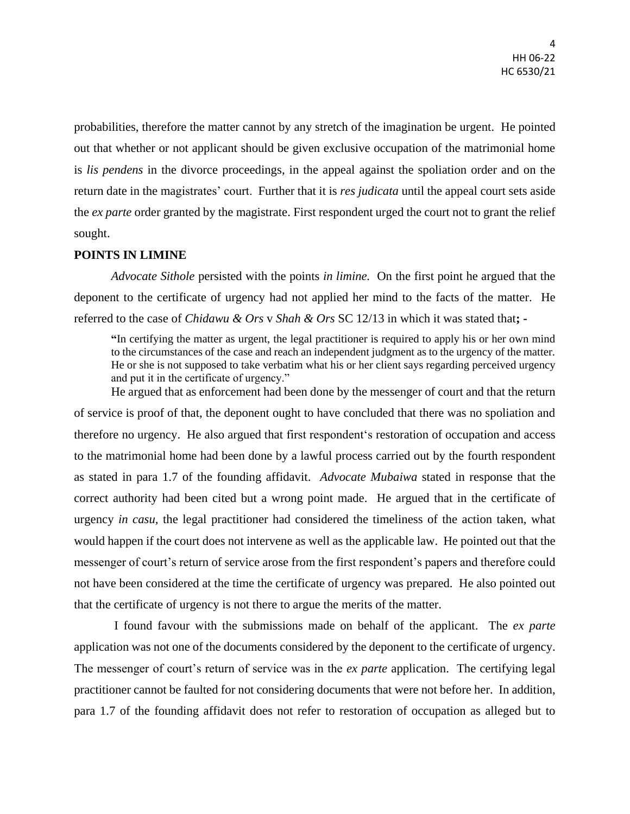probabilities, therefore the matter cannot by any stretch of the imagination be urgent. He pointed out that whether or not applicant should be given exclusive occupation of the matrimonial home is *lis pendens* in the divorce proceedings, in the appeal against the spoliation order and on the return date in the magistrates' court. Further that it is *res judicata* until the appeal court sets aside the *ex parte* order granted by the magistrate. First respondent urged the court not to grant the relief sought.

## **POINTS IN LIMINE**

*Advocate Sithole* persisted with the points *in limine.* On the first point he argued that the deponent to the certificate of urgency had not applied her mind to the facts of the matter. He referred to the case of *Chidawu & Ors* v *Shah & Ors* SC 12/13 in which it was stated that**; -**

**"**In certifying the matter as urgent, the legal practitioner is required to apply his or her own mind to the circumstances of the case and reach an independent judgment as to the urgency of the matter. He or she is not supposed to take verbatim what his or her client says regarding perceived urgency and put it in the certificate of urgency."

He argued that as enforcement had been done by the messenger of court and that the return of service is proof of that, the deponent ought to have concluded that there was no spoliation and therefore no urgency. He also argued that first respondent's restoration of occupation and access to the matrimonial home had been done by a lawful process carried out by the fourth respondent as stated in para 1.7 of the founding affidavit. *Advocate Mubaiwa* stated in response that the correct authority had been cited but a wrong point made. He argued that in the certificate of urgency *in casu,* the legal practitioner had considered the timeliness of the action taken, what would happen if the court does not intervene as well as the applicable law. He pointed out that the messenger of court's return of service arose from the first respondent's papers and therefore could not have been considered at the time the certificate of urgency was prepared. He also pointed out that the certificate of urgency is not there to argue the merits of the matter.

I found favour with the submissions made on behalf of the applicant. The *ex parte* application was not one of the documents considered by the deponent to the certificate of urgency. The messenger of court's return of service was in the *ex parte* application. The certifying legal practitioner cannot be faulted for not considering documents that were not before her. In addition, para 1.7 of the founding affidavit does not refer to restoration of occupation as alleged but to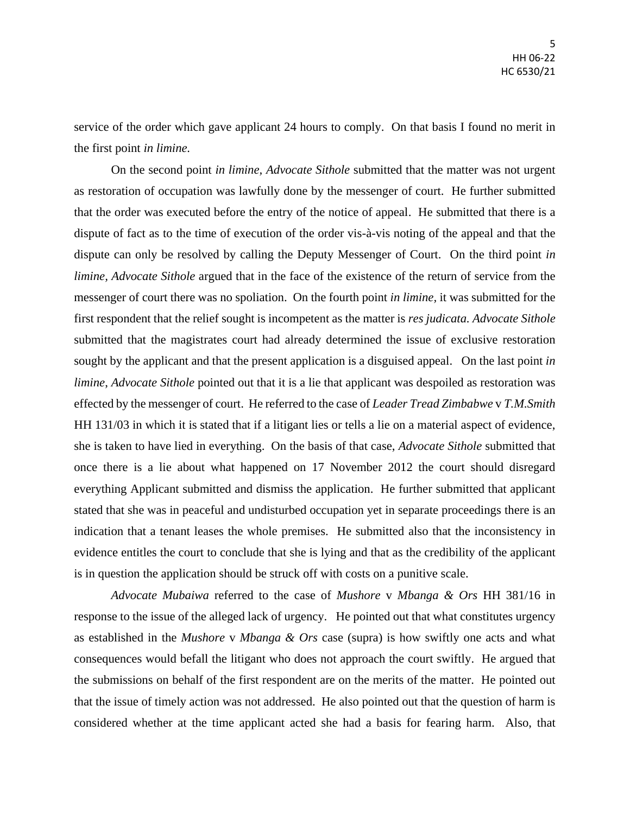service of the order which gave applicant 24 hours to comply. On that basis I found no merit in the first point *in limine.*

On the second point *in limine, Advocate Sithole* submitted that the matter was not urgent as restoration of occupation was lawfully done by the messenger of court. He further submitted that the order was executed before the entry of the notice of appeal. He submitted that there is a dispute of fact as to the time of execution of the order vis-à-vis noting of the appeal and that the dispute can only be resolved by calling the Deputy Messenger of Court. On the third point *in limine, Advocate Sithole* argued that in the face of the existence of the return of service from the messenger of court there was no spoliation. On the fourth point *in limine,* it was submitted for the first respondent that the relief sought is incompetent as the matter is *res judicata. Advocate Sithole*  submitted that the magistrates court had already determined the issue of exclusive restoration sought by the applicant and that the present application is a disguised appeal. On the last point *in limine*, *Advocate Sithole* pointed out that it is a lie that applicant was despoiled as restoration was effected by the messenger of court. He referred to the case of *Leader Tread Zimbabwe* v *T.M.Smith* HH 131/03 in which it is stated that if a litigant lies or tells a lie on a material aspect of evidence, she is taken to have lied in everything. On the basis of that case, *Advocate Sithole* submitted that once there is a lie about what happened on 17 November 2012 the court should disregard everything Applicant submitted and dismiss the application. He further submitted that applicant stated that she was in peaceful and undisturbed occupation yet in separate proceedings there is an indication that a tenant leases the whole premises. He submitted also that the inconsistency in evidence entitles the court to conclude that she is lying and that as the credibility of the applicant is in question the application should be struck off with costs on a punitive scale.

*Advocate Mubaiwa* referred to the case of *Mushore* v *Mbanga & Ors* HH 381/16 in response to the issue of the alleged lack of urgency. He pointed out that what constitutes urgency as established in the *Mushore* v *Mbanga & Ors* case (supra) is how swiftly one acts and what consequences would befall the litigant who does not approach the court swiftly. He argued that the submissions on behalf of the first respondent are on the merits of the matter. He pointed out that the issue of timely action was not addressed. He also pointed out that the question of harm is considered whether at the time applicant acted she had a basis for fearing harm. Also, that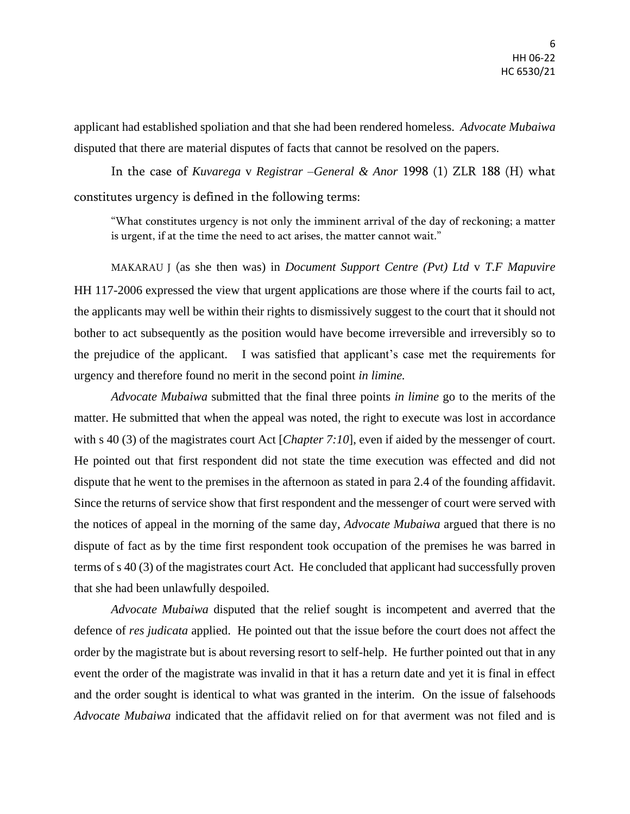applicant had established spoliation and that she had been rendered homeless. *Advocate Mubaiwa* disputed that there are material disputes of facts that cannot be resolved on the papers.

In the case of *Kuvarega* v *Registrar –General & Anor* 1998 (1) ZLR 188 (H) what constitutes urgency is defined in the following terms:

"What constitutes urgency is not only the imminent arrival of the day of reckoning; a matter is urgent, if at the time the need to act arises, the matter cannot wait."

MAKARAU J (as she then was) in *Document Support Centre (Pvt) Ltd* v *T.F Mapuvire* HH 117-2006 expressed the view that urgent applications are those where if the courts fail to act, the applicants may well be within their rights to dismissively suggest to the court that it should not bother to act subsequently as the position would have become irreversible and irreversibly so to the prejudice of the applicant. I was satisfied that applicant's case met the requirements for urgency and therefore found no merit in the second point *in limine.*

*Advocate Mubaiwa* submitted that the final three points *in limine* go to the merits of the matter. He submitted that when the appeal was noted, the right to execute was lost in accordance with s 40 (3) of the magistrates court Act [*Chapter 7:10*], even if aided by the messenger of court. He pointed out that first respondent did not state the time execution was effected and did not dispute that he went to the premises in the afternoon as stated in para 2.4 of the founding affidavit. Since the returns of service show that first respondent and the messenger of court were served with the notices of appeal in the morning of the same day, *Advocate Mubaiwa* argued that there is no dispute of fact as by the time first respondent took occupation of the premises he was barred in terms of s 40 (3) of the magistrates court Act. He concluded that applicant had successfully proven that she had been unlawfully despoiled.

*Advocate Mubaiwa* disputed that the relief sought is incompetent and averred that the defence of *res judicata* applied. He pointed out that the issue before the court does not affect the order by the magistrate but is about reversing resort to self-help. He further pointed out that in any event the order of the magistrate was invalid in that it has a return date and yet it is final in effect and the order sought is identical to what was granted in the interim. On the issue of falsehoods *Advocate Mubaiwa* indicated that the affidavit relied on for that averment was not filed and is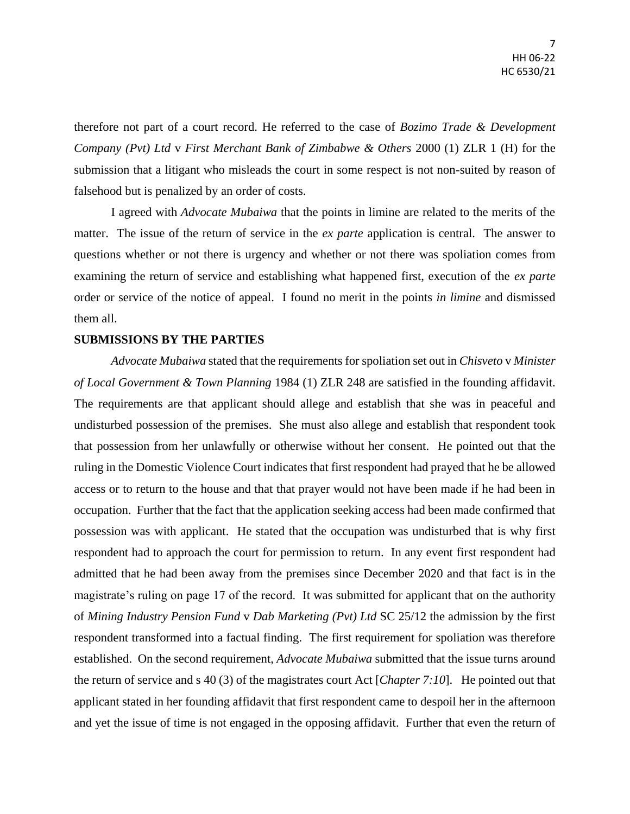therefore not part of a court record. He referred to the case of *Bozimo Trade & Development Company (Pvt) Ltd* v *First Merchant Bank of Zimbabwe & Others* 2000 (1) ZLR 1 (H) for the submission that a litigant who misleads the court in some respect is not non-suited by reason of falsehood but is penalized by an order of costs.

I agreed with *Advocate Mubaiwa* that the points in limine are related to the merits of the matter. The issue of the return of service in the *ex parte* application is central. The answer to questions whether or not there is urgency and whether or not there was spoliation comes from examining the return of service and establishing what happened first, execution of the *ex parte* order or service of the notice of appeal. I found no merit in the points *in limine* and dismissed them all.

## **SUBMISSIONS BY THE PARTIES**

*Advocate Mubaiwa* stated that the requirements for spoliation set out in *Chisveto* v *Minister of Local Government & Town Planning* 1984 (1) ZLR 248 are satisfied in the founding affidavit. The requirements are that applicant should allege and establish that she was in peaceful and undisturbed possession of the premises. She must also allege and establish that respondent took that possession from her unlawfully or otherwise without her consent. He pointed out that the ruling in the Domestic Violence Court indicates that first respondent had prayed that he be allowed access or to return to the house and that that prayer would not have been made if he had been in occupation. Further that the fact that the application seeking access had been made confirmed that possession was with applicant. He stated that the occupation was undisturbed that is why first respondent had to approach the court for permission to return. In any event first respondent had admitted that he had been away from the premises since December 2020 and that fact is in the magistrate's ruling on page 17 of the record. It was submitted for applicant that on the authority of *Mining Industry Pension Fund* v *Dab Marketing (Pvt) Ltd* SC 25/12 the admission by the first respondent transformed into a factual finding. The first requirement for spoliation was therefore established. On the second requirement, *Advocate Mubaiwa* submitted that the issue turns around the return of service and s 40 (3) of the magistrates court Act [*Chapter 7:10*]. He pointed out that applicant stated in her founding affidavit that first respondent came to despoil her in the afternoon and yet the issue of time is not engaged in the opposing affidavit. Further that even the return of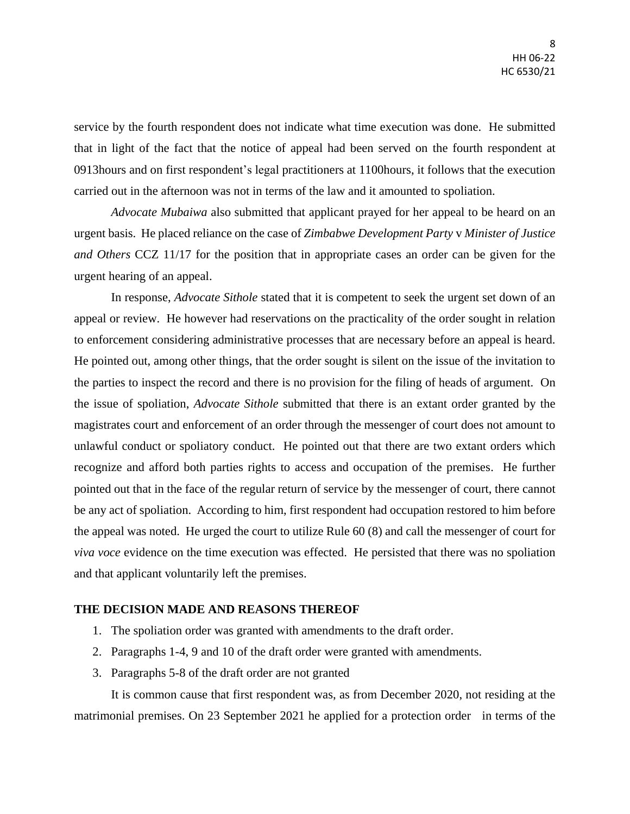service by the fourth respondent does not indicate what time execution was done. He submitted that in light of the fact that the notice of appeal had been served on the fourth respondent at 0913hours and on first respondent's legal practitioners at 1100hours, it follows that the execution carried out in the afternoon was not in terms of the law and it amounted to spoliation.

*Advocate Mubaiwa* also submitted that applicant prayed for her appeal to be heard on an urgent basis. He placed reliance on the case of *Zimbabwe Development Party* v *Minister of Justice and Others* CCZ 11/17 for the position that in appropriate cases an order can be given for the urgent hearing of an appeal.

In response, *Advocate Sithole* stated that it is competent to seek the urgent set down of an appeal or review. He however had reservations on the practicality of the order sought in relation to enforcement considering administrative processes that are necessary before an appeal is heard. He pointed out, among other things, that the order sought is silent on the issue of the invitation to the parties to inspect the record and there is no provision for the filing of heads of argument. On the issue of spoliation, *Advocate Sithole* submitted that there is an extant order granted by the magistrates court and enforcement of an order through the messenger of court does not amount to unlawful conduct or spoliatory conduct. He pointed out that there are two extant orders which recognize and afford both parties rights to access and occupation of the premises. He further pointed out that in the face of the regular return of service by the messenger of court, there cannot be any act of spoliation. According to him, first respondent had occupation restored to him before the appeal was noted. He urged the court to utilize Rule 60 (8) and call the messenger of court for *viva voce* evidence on the time execution was effected. He persisted that there was no spoliation and that applicant voluntarily left the premises.

## **THE DECISION MADE AND REASONS THEREOF**

- 1. The spoliation order was granted with amendments to the draft order.
- 2. Paragraphs 1-4, 9 and 10 of the draft order were granted with amendments.
- 3. Paragraphs 5-8 of the draft order are not granted

It is common cause that first respondent was, as from December 2020, not residing at the matrimonial premises. On 23 September 2021 he applied for a protection order in terms of the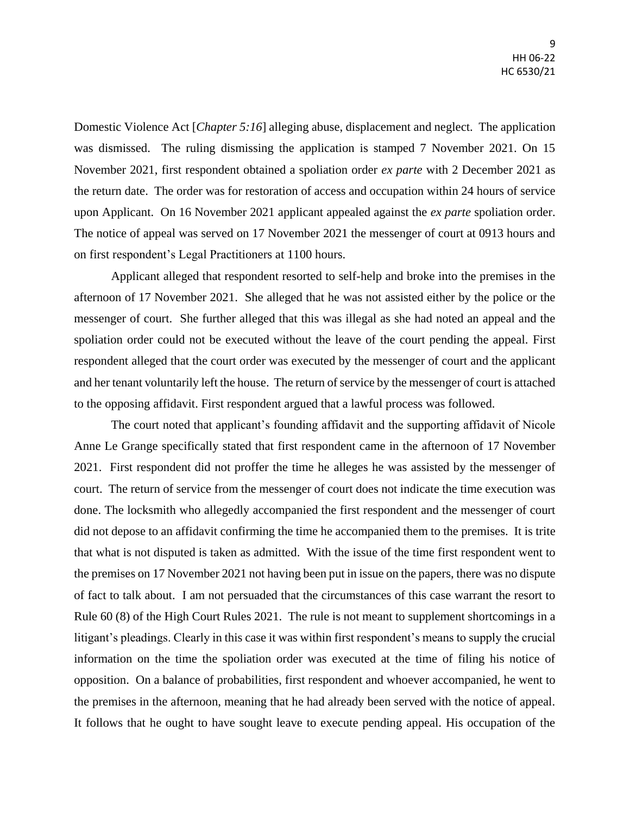Domestic Violence Act [*Chapter 5:16*] alleging abuse, displacement and neglect. The application was dismissed. The ruling dismissing the application is stamped 7 November 2021. On 15 November 2021, first respondent obtained a spoliation order *ex parte* with 2 December 2021 as the return date. The order was for restoration of access and occupation within 24 hours of service upon Applicant. On 16 November 2021 applicant appealed against the *ex parte* spoliation order. The notice of appeal was served on 17 November 2021 the messenger of court at 0913 hours and on first respondent's Legal Practitioners at 1100 hours.

Applicant alleged that respondent resorted to self-help and broke into the premises in the afternoon of 17 November 2021. She alleged that he was not assisted either by the police or the messenger of court. She further alleged that this was illegal as she had noted an appeal and the spoliation order could not be executed without the leave of the court pending the appeal. First respondent alleged that the court order was executed by the messenger of court and the applicant and her tenant voluntarily left the house. The return of service by the messenger of court is attached to the opposing affidavit. First respondent argued that a lawful process was followed.

The court noted that applicant's founding affidavit and the supporting affidavit of Nicole Anne Le Grange specifically stated that first respondent came in the afternoon of 17 November 2021. First respondent did not proffer the time he alleges he was assisted by the messenger of court. The return of service from the messenger of court does not indicate the time execution was done. The locksmith who allegedly accompanied the first respondent and the messenger of court did not depose to an affidavit confirming the time he accompanied them to the premises. It is trite that what is not disputed is taken as admitted. With the issue of the time first respondent went to the premises on 17 November 2021 not having been put in issue on the papers, there was no dispute of fact to talk about. I am not persuaded that the circumstances of this case warrant the resort to Rule 60 (8) of the High Court Rules 2021. The rule is not meant to supplement shortcomings in a litigant's pleadings. Clearly in this case it was within first respondent's means to supply the crucial information on the time the spoliation order was executed at the time of filing his notice of opposition. On a balance of probabilities, first respondent and whoever accompanied, he went to the premises in the afternoon, meaning that he had already been served with the notice of appeal. It follows that he ought to have sought leave to execute pending appeal. His occupation of the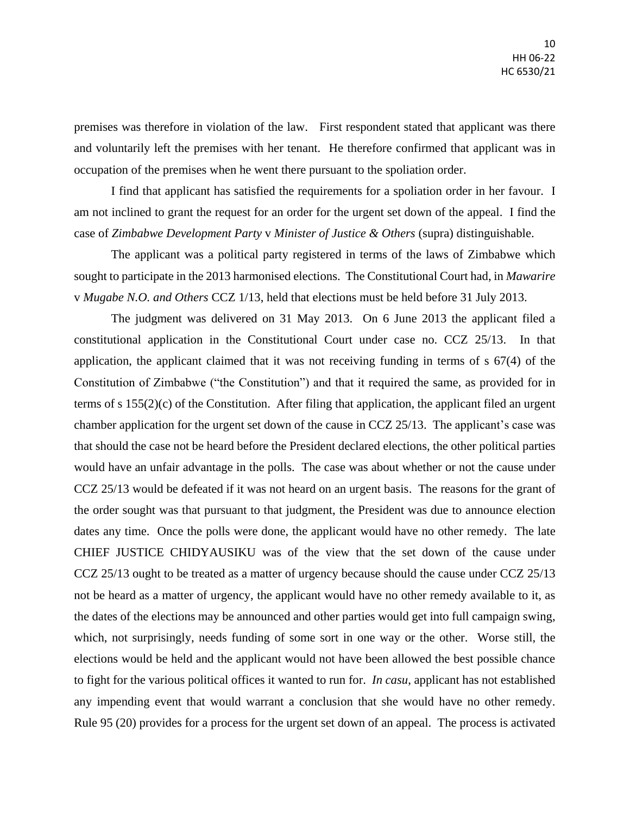premises was therefore in violation of the law. First respondent stated that applicant was there and voluntarily left the premises with her tenant. He therefore confirmed that applicant was in occupation of the premises when he went there pursuant to the spoliation order.

I find that applicant has satisfied the requirements for a spoliation order in her favour. I am not inclined to grant the request for an order for the urgent set down of the appeal. I find the case of *Zimbabwe Development Party* v *Minister of Justice & Others* (supra) distinguishable.

The applicant was a political party registered in terms of the laws of Zimbabwe which sought to participate in the 2013 harmonised elections. The Constitutional Court had, in *Mawarire*  v *Mugabe N.O. and Others* CCZ 1/13, held that elections must be held before 31 July 2013.

The judgment was delivered on 31 May 2013. On 6 June 2013 the applicant filed a constitutional application in the Constitutional Court under case no. CCZ 25/13. In that application, the applicant claimed that it was not receiving funding in terms of s 67(4) of the Constitution of Zimbabwe ("the Constitution") and that it required the same, as provided for in terms of s 155(2)(c) of the Constitution. After filing that application, the applicant filed an urgent chamber application for the urgent set down of the cause in CCZ 25/13. The applicant's case was that should the case not be heard before the President declared elections, the other political parties would have an unfair advantage in the polls. The case was about whether or not the cause under CCZ 25/13 would be defeated if it was not heard on an urgent basis. The reasons for the grant of the order sought was that pursuant to that judgment, the President was due to announce election dates any time. Once the polls were done, the applicant would have no other remedy. The late CHIEF JUSTICE CHIDYAUSIKU was of the view that the set down of the cause under CCZ 25/13 ought to be treated as a matter of urgency because should the cause under CCZ 25/13 not be heard as a matter of urgency, the applicant would have no other remedy available to it, as the dates of the elections may be announced and other parties would get into full campaign swing, which, not surprisingly, needs funding of some sort in one way or the other. Worse still, the elections would be held and the applicant would not have been allowed the best possible chance to fight for the various political offices it wanted to run for. *In casu*, applicant has not established any impending event that would warrant a conclusion that she would have no other remedy. Rule 95 (20) provides for a process for the urgent set down of an appeal. The process is activated